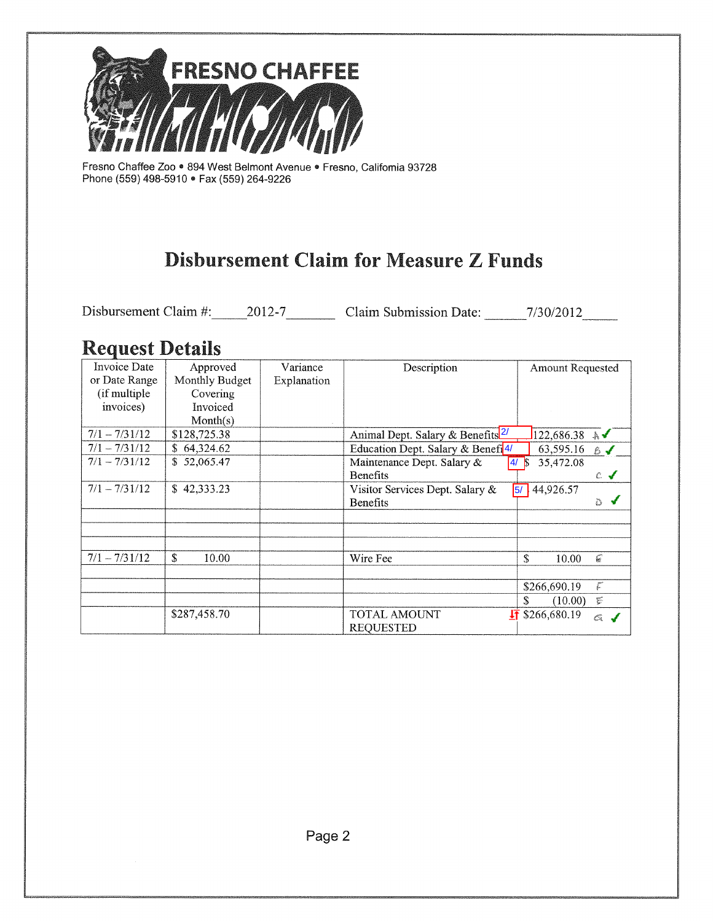

Fresno Chaffee Zoo . 894 West Belmont Avenue . Fresno, California 93728 Phone (559) 498-5910 · Fax (559) 264-9226

# **Disbursement Claim for Measure Z Funds**

Disbursement Claim #: 2012-7 Claim Submission Date: 7/30/2012

# **Request Details**

| Invoice Date<br>or Date Range | Approved<br>Monthly Budget | Variance<br>Explanation | Description                                   | Amount Requested                             |
|-------------------------------|----------------------------|-------------------------|-----------------------------------------------|----------------------------------------------|
| (if multiple)                 | Covering                   |                         |                                               |                                              |
| invoices)                     | Invoiced                   |                         |                                               |                                              |
|                               | Month(s)                   |                         |                                               |                                              |
| $7/1 - 7/31/12$               | \$128,725.38               |                         | Animal Dept. Salary & Benefits <sup>2/</sup>  | 122,686.38 A                                 |
| $7/1 - 7/31/12$               | \$64,324.62                |                         | Education Dept. Salary & Benefi <sup>4/</sup> | 63,595.16<br>$6\sqrt{ }$                     |
| $7/1 - 7/31/12$               | \$52,065.47                |                         | Maintenance Dept. Salary &<br>$\frac{4}{1}$   | 35,472.08                                    |
|                               |                            |                         | <b>Benefits</b>                               | $c \blacktriangleleft$                       |
| $7/1 - 7/31/12$               | \$42,333.23                |                         | Visitor Services Dept. Salary &               | 44,926.57<br>5/                              |
|                               |                            |                         | <b>Benefits</b>                               | 診                                            |
|                               |                            |                         |                                               |                                              |
|                               |                            |                         |                                               |                                              |
|                               |                            |                         |                                               |                                              |
| $7/1 - 7/31/12$               | \$<br>10.00                |                         | Wire Fee                                      | \$<br>€<br>10.00                             |
|                               |                            |                         |                                               |                                              |
|                               |                            |                         |                                               | ŗ<br>\$266,690.19                            |
|                               |                            |                         |                                               | \$<br>(10.00)<br>$\mathcal{E}^{\mathcal{E}}$ |
|                               | \$287,458.70               |                         | TOTAL AMOUNT                                  | $\frac{1}{21}$ \$266,680.19<br>C.            |
|                               |                            |                         | <b>REQUESTED</b>                              |                                              |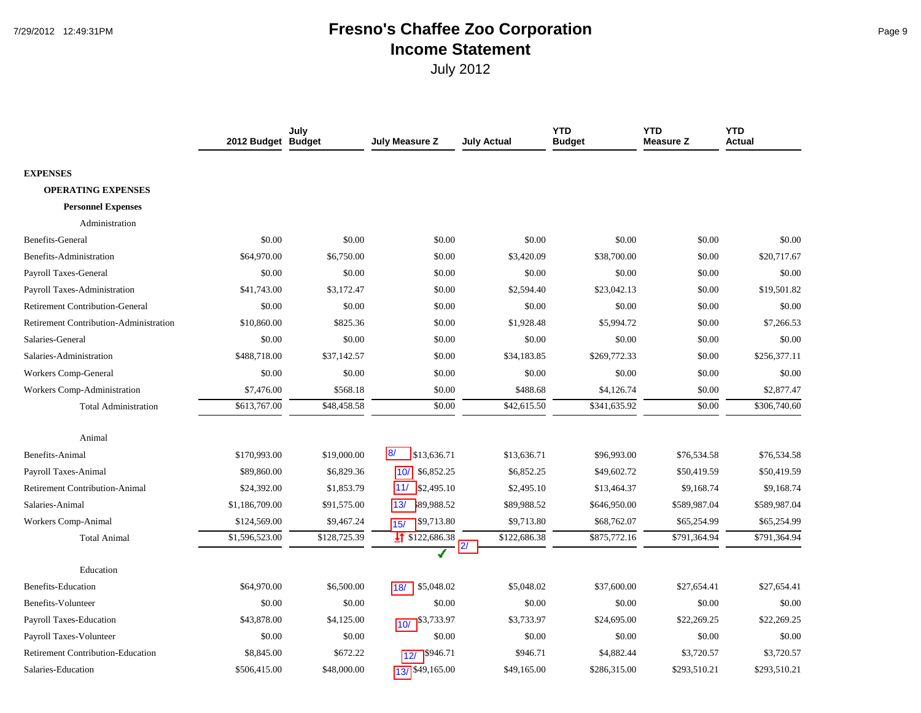## **Fresno's Chaffee Zoo Corporation Page 9** Page 9 **Income Statement**

|                                               | 2012 Budget Budget | July         | <b>July Measure Z</b>      | <b>July Actual</b> | <b>YTD</b><br><b>Budget</b> | <b>YTD</b><br><b>Measure Z</b> | <b>YTD</b><br>Actual |
|-----------------------------------------------|--------------------|--------------|----------------------------|--------------------|-----------------------------|--------------------------------|----------------------|
| <b>EXPENSES</b>                               |                    |              |                            |                    |                             |                                |                      |
| <b>OPERATING EXPENSES</b>                     |                    |              |                            |                    |                             |                                |                      |
| <b>Personnel Expenses</b>                     |                    |              |                            |                    |                             |                                |                      |
| Administration                                |                    |              |                            |                    |                             |                                |                      |
| <b>Benefits-General</b>                       | \$0.00             | \$0.00       | \$0.00                     | \$0.00             | \$0.00                      | \$0.00                         | \$0.00               |
| Benefits-Administration                       | \$64,970.00        | \$6,750.00   | \$0.00                     | \$3,420.09         | \$38,700.00                 | \$0.00                         | \$20,717.67          |
| Payroll Taxes-General                         | \$0.00             | \$0.00       | \$0.00                     | \$0.00             | \$0.00                      | \$0.00                         | \$0.00               |
| Payroll Taxes-Administration                  | \$41,743.00        | \$3,172.47   | \$0.00                     | \$2,594.40         | \$23,042.13                 | \$0.00                         | \$19,501.82          |
| <b>Retirement Contribution-General</b>        | \$0.00             | \$0.00       | \$0.00                     | \$0.00             | \$0.00                      | \$0.00                         | \$0.00               |
| <b>Retirement Contribution-Administration</b> | \$10,860.00        | \$825.36     | \$0.00                     | \$1,928.48         | \$5,994.72                  | \$0.00                         | \$7,266.53           |
| Salaries-General                              | \$0.00             | \$0.00       | \$0.00                     | \$0.00             | \$0.00                      | \$0.00                         | \$0.00               |
| Salaries-Administration                       | \$488,718.00       | \$37,142.57  | \$0.00                     | \$34,183.85        | \$269,772.33                | \$0.00                         | \$256,377.11         |
| Workers Comp-General                          | \$0.00             | \$0.00       | \$0.00                     | \$0.00             | \$0.00                      | \$0.00                         | \$0.00               |
| Workers Comp-Administration                   | \$7,476.00         | \$568.18     | \$0.00                     | \$488.68           | \$4,126.74                  | \$0.00                         | \$2,877.47           |
| <b>Total Administration</b>                   | \$613,767.00       | \$48,458.58  | \$0.00                     | \$42,615.50        | \$341,635.92                | \$0.00                         | \$306,740.60         |
| Animal                                        |                    |              |                            |                    |                             |                                |                      |
| Benefits-Animal                               | \$170,993.00       | \$19,000.00  | 8/<br>\$13,636.71          | \$13,636.71        | \$96,993.00                 | \$76,534.58                    | \$76,534.58          |
| Payroll Taxes-Animal                          | \$89,860.00        | \$6,829.36   | $10/$ \$6,852.25           | \$6,852.25         | \$49,602.72                 | \$50,419.59                    | \$50,419.59          |
| <b>Retirement Contribution-Animal</b>         | \$24,392.00        | \$1,853.79   | 111/<br>\$2,495.10         | \$2,495.10         | \$13,464.37                 | \$9,168.74                     | \$9,168.74           |
| Salaries-Animal                               | \$1,186,709.00     | \$91,575.00  | 13/<br>89,988.52           | \$89,988.52        | \$646,950.00                | \$589,987.04                   | \$589,987.04         |
| Workers Comp-Animal                           | \$124,569.00       | \$9,467.24   | \$9,713.80<br>15/          | \$9,713.80         | \$68,762.07                 | \$65,254.99                    | \$65,254.99          |
| <b>Total Animal</b>                           | \$1,596,523.00     | \$128,725.39 | $\frac{1}{2}$ \$122,686.38 | \$122,686.38       | \$875,772.16                | \$791,364.94                   | \$791,364.94         |
|                                               |                    |              | ✔                          | 2/                 |                             |                                |                      |
| Education                                     |                    |              |                            |                    |                             |                                |                      |
| <b>Benefits-Education</b>                     | \$64,970.00        | \$6,500.00   | \$5,048.02<br>18/          | \$5,048.02         | \$37,600.00                 | \$27,654.41                    | \$27,654.41          |
| Benefits-Volunteer                            | \$0.00             | \$0.00       | \$0.00                     | \$0.00             | \$0.00                      | \$0.00                         | \$0.00               |
| Payroll Taxes-Education                       | \$43,878.00        | \$4,125.00   | \$3,733.97<br>10/          | \$3,733.97         | \$24,695.00                 | \$22,269.25                    | \$22,269.25          |
| Payroll Taxes-Volunteer                       | \$0.00             | \$0.00       | \$0.00                     | \$0.00             | \$0.00                      | \$0.00                         | \$0.00               |
| <b>Retirement Contribution-Education</b>      | \$8,845.00         | \$672.22     | \$946.71<br>12/            | \$946.71           | \$4,882.44                  | \$3,720.57                     | \$3,720.57           |
| Salaries-Education                            | \$506,415.00       | \$48,000.00  | 13/849,165.00              | \$49,165.00        | \$286,315.00                | \$293,510.21                   | \$293,510.21         |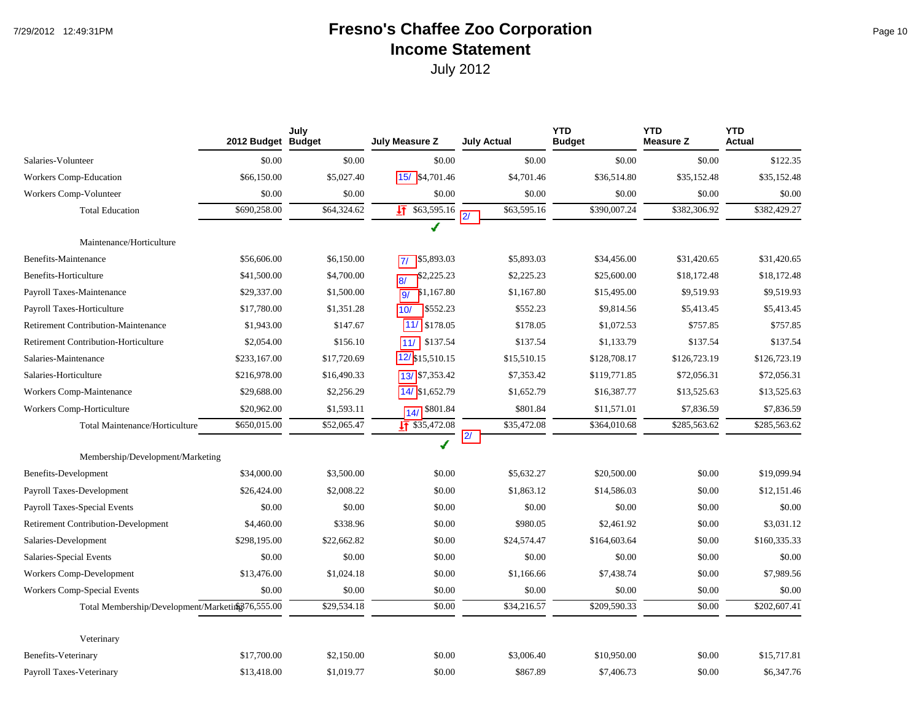# **Fresno's Chaffee Zoo Corporation Page 10** Page 10 **Income Statement**

|                                                 | 2012 Budget Budget | July        | <b>July Measure Z</b>         | <b>July Actual</b> | <b>YTD</b><br><b>Budget</b> | <b>YTD</b><br><b>Measure Z</b> | <b>YTD</b><br><b>Actual</b> |
|-------------------------------------------------|--------------------|-------------|-------------------------------|--------------------|-----------------------------|--------------------------------|-----------------------------|
| Salaries-Volunteer                              | \$0.00             | \$0.00      | \$0.00                        | \$0.00             | \$0.00                      | \$0.00                         | \$122.35                    |
| <b>Workers Comp-Education</b>                   | \$66,150.00        | \$5,027.40  | 15/<br>\$4,701.46             | \$4,701.46         | \$36,514.80                 | \$35,152.48                    | \$35,152.48                 |
| Workers Comp-Volunteer                          | \$0.00             | \$0.00      | \$0.00                        | \$0.00             | \$0.00                      | \$0.00                         | \$0.00                      |
| <b>Total Education</b>                          | \$690,258.00       | \$64,324.62 | $\sqrt{17}$ \$63,595.16       | \$63,595.16        | \$390,007.24                | \$382,306.92                   | \$382,429.27                |
|                                                 |                    |             | ℐ                             |                    |                             |                                |                             |
| Maintenance/Horticulture                        |                    |             |                               |                    |                             |                                |                             |
| Benefits-Maintenance                            | \$56,606.00        | \$6,150.00  | \$5,893.03<br>7/              | \$5,893.03         | \$34,456.00                 | \$31,420.65                    | \$31,420.65                 |
| Benefits-Horticulture                           | \$41,500.00        | \$4,700.00  | \$2,225.23<br>l8/             | \$2,225.23         | \$25,600.00                 | \$18,172.48                    | \$18,172.48                 |
| Payroll Taxes-Maintenance                       | \$29,337.00        | \$1,500.00  | \$1,167.80<br>$\overline{9/}$ | \$1,167.80         | \$15,495.00                 | \$9,519.93                     | \$9,519.93                  |
| Payroll Taxes-Horticulture                      | \$17,780.00        | \$1,351.28  | \$552.23<br>10/               | \$552.23           | \$9,814.56                  | \$5,413.45                     | \$5,413.45                  |
| Retirement Contribution-Maintenance             | \$1,943.00         | \$147.67    | 11/ \$178.05                  | \$178.05           | \$1,072.53                  | \$757.85                       | \$757.85                    |
| Retirement Contribution-Horticulture            | \$2,054.00         | \$156.10    | $11/$ \$137.54                | \$137.54           | \$1,133.79                  | \$137.54                       | \$137.54                    |
| Salaries-Maintenance                            | \$233,167.00       | \$17,720.69 | $12/\$15,510.15$              | \$15,510.15        | \$128,708.17                | \$126,723.19                   | \$126,723.19                |
| Salaries-Horticulture                           | \$216,978.00       | \$16,490.33 | $13/$ \$7,353.42              | \$7,353.42         | \$119,771.85                | \$72,056.31                    | \$72,056.31                 |
| Workers Comp-Maintenance                        | \$29,688.00        | \$2,256.29  | 14/ \$1,652.79                | \$1,652.79         | \$16,387.77                 | \$13,525.63                    | \$13,525.63                 |
| Workers Comp-Horticulture                       | \$20,962.00        | \$1,593.11  | \$801.84<br>14/               | \$801.84           | \$11,571.01                 | \$7,836.59                     | \$7,836.59                  |
| Total Maintenance/Horticulture                  | \$650,015.00       | \$52,065.47 | $\sqrt{17}$ \$35,472.08       | \$35,472.08        | \$364,010.68                | \$285,563.62                   | \$285,563.62                |
|                                                 |                    |             |                               | 2/                 |                             |                                |                             |
| Membership/Development/Marketing                |                    |             |                               |                    |                             |                                |                             |
| Benefits-Development                            | \$34,000.00        | \$3,500.00  | \$0.00                        | \$5,632.27         | \$20,500.00                 | \$0.00                         | \$19,099.94                 |
| Payroll Taxes-Development                       | \$26,424.00        | \$2,008.22  | \$0.00                        | \$1,863.12         | \$14,586.03                 | \$0.00                         | \$12,151.46                 |
| Payroll Taxes-Special Events                    | \$0.00             | \$0.00      | \$0.00                        | \$0.00             | \$0.00                      | \$0.00                         | \$0.00                      |
| <b>Retirement Contribution-Development</b>      | \$4,460.00         | \$338.96    | \$0.00                        | \$980.05           | \$2,461.92                  | \$0.00                         | \$3,031.12                  |
| Salaries-Development                            | \$298,195.00       | \$22,662.82 | \$0.00                        | \$24,574.47        | \$164,603.64                | \$0.00                         | \$160,335.33                |
| Salaries-Special Events                         | \$0.00             | \$0.00      | \$0.00                        | \$0.00             | \$0.00                      | \$0.00                         | \$0.00                      |
| Workers Comp-Development                        | \$13,476.00        | \$1,024.18  | \$0.00                        | \$1,166.66         | \$7,438.74                  | \$0.00                         | \$7,989.56                  |
| <b>Workers Comp-Special Events</b>              | \$0.00             | \$0.00      | \$0.00                        | \$0.00             | \$0.00                      | \$0.00                         | \$0.00                      |
| Total Membership/Development/Marketing76,555.00 |                    | \$29,534.18 | \$0.00                        | \$34,216.57        | \$209,590.33                | \$0.00                         | \$202,607.41                |
|                                                 |                    |             |                               |                    |                             |                                |                             |
| Veterinary                                      |                    |             |                               |                    |                             |                                |                             |
| Benefits-Veterinary                             | \$17,700.00        | \$2,150.00  | \$0.00                        | \$3,006.40         | \$10,950.00                 | \$0.00                         | \$15,717.81                 |
| Payroll Taxes-Veterinary                        | \$13,418.00        | \$1,019.77  | \$0.00                        | \$867.89           | \$7,406.73                  | \$0.00                         | \$6,347.76                  |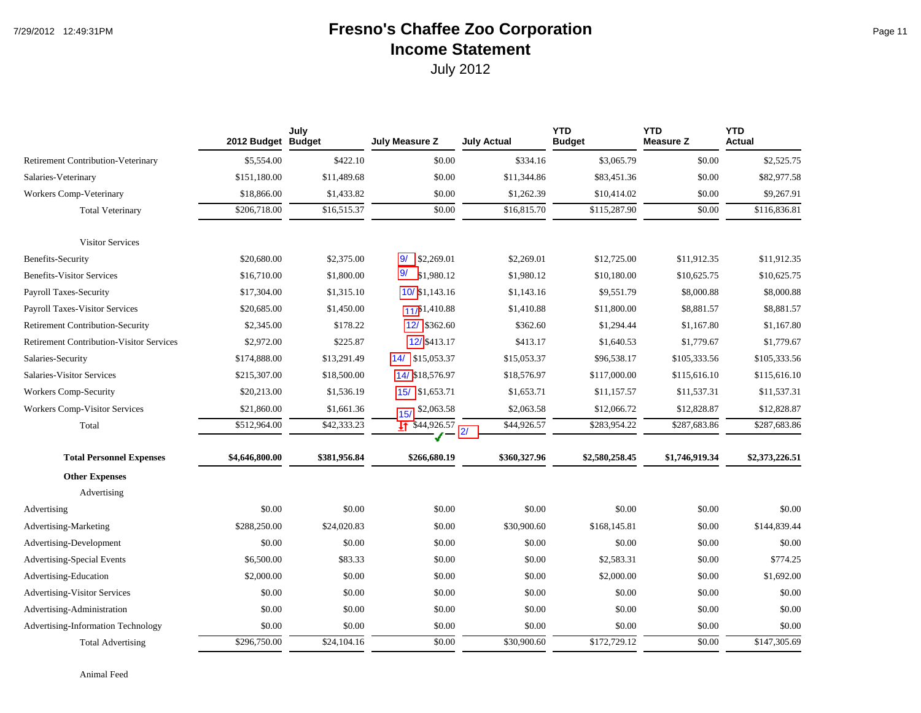Animal Feed

# **Fresno's Chaffee Zoo Corporation Page 11** Page 11 **Income Statement**

|                                                 | 2012 Budget Budget | July         | <b>July Measure Z</b>                  | <b>July Actual</b> | <b>YTD</b><br><b>Budget</b> | <b>YTD</b><br><b>Measure Z</b> | <b>YTD</b><br><b>Actual</b> |
|-------------------------------------------------|--------------------|--------------|----------------------------------------|--------------------|-----------------------------|--------------------------------|-----------------------------|
| Retirement Contribution-Veterinary              | \$5,554.00         | \$422.10     | \$0.00                                 | \$334.16           | \$3,065.79                  | \$0.00                         | \$2,525.75                  |
| Salaries-Veterinary                             | \$151,180.00       | \$11,489.68  | \$0.00                                 | \$11,344.86        | \$83,451.36                 | \$0.00                         | \$82,977.58                 |
| <b>Workers Comp-Veterinary</b>                  | \$18,866.00        | \$1,433.82   | \$0.00                                 | \$1,262.39         | \$10,414.02                 | \$0.00                         | \$9,267.91                  |
| <b>Total Veterinary</b>                         | \$206,718.00       | \$16,515.37  | \$0.00                                 | \$16,815.70        | \$115,287.90                | \$0.00                         | \$116,836.81                |
| <b>Visitor Services</b>                         |                    |              |                                        |                    |                             |                                |                             |
| Benefits-Security                               | \$20,680.00        | \$2,375.00   | $\overline{9/}$<br>\$2,269.01          | \$2,269.01         | \$12,725.00                 | \$11,912.35                    | \$11,912.35                 |
| <b>Benefits-Visitor Services</b>                | \$16,710.00        | \$1,800.00   | 9/<br>\$1,980.12                       | \$1,980.12         | \$10,180.00                 | \$10,625.75                    | \$10,625.75                 |
| <b>Payroll Taxes-Security</b>                   | \$17,304.00        | \$1,315.10   | $10/$ \$1,143.16                       | \$1,143.16         | \$9,551.79                  | \$8,000.88                     | \$8,000.88                  |
| <b>Payroll Taxes-Visitor Services</b>           | \$20,685.00        | \$1,450.00   | 11/81,410.88                           | \$1,410.88         | \$11,800.00                 | \$8,881.57                     | \$8,881.57                  |
| <b>Retirement Contribution-Security</b>         | \$2,345.00         | \$178.22     | $12/$ \$362.60                         | \$362.60           | \$1,294.44                  | \$1,167.80                     | \$1,167.80                  |
| <b>Retirement Contribution-Visitor Services</b> | \$2,972.00         | \$225.87     | 12/ \$413.17                           | \$413.17           | \$1,640.53                  | \$1,779.67                     | \$1,779.67                  |
| Salaries-Security                               | \$174,888.00       | \$13,291.49  | $14/$ \$15,053.37                      | \$15,053.37        | \$96,538.17                 | \$105,333.56                   | \$105,333.56                |
| Salaries-Visitor Services                       | \$215,307.00       | \$18,500.00  | 14/ \$18,576.97                        | \$18,576.97        | \$117,000.00                | \$115,616.10                   | \$115,616.10                |
| <b>Workers Comp-Security</b>                    | \$20,213.00        | \$1,536.19   | 15/ \$1,653.71                         | \$1,653.71         | \$11,157.57                 | \$11,537.31                    | \$11,537.31                 |
| <b>Workers Comp-Visitor Services</b>            | \$21,860.00        | \$1,661.36   | $15/$ \$2,063.58                       | \$2,063.58         | \$12,066.72                 | \$12,828.87                    | \$12,828.87                 |
| Total                                           | \$512,964.00       | \$42,333.23  | \$44,926.57<br>$\overline{\mathbf{H}}$ | \$44,926.57<br> 2/ | \$283,954.22                | \$287,683.86                   | \$287,683.86                |
| <b>Total Personnel Expenses</b>                 | \$4,646,800.00     | \$381,956.84 | \$266,680.19                           | \$360,327.96       | \$2,580,258.45              | \$1,746,919.34                 | \$2,373,226.51              |
| <b>Other Expenses</b>                           |                    |              |                                        |                    |                             |                                |                             |
| Advertising                                     |                    |              |                                        |                    |                             |                                |                             |
| Advertising                                     | \$0.00             | \$0.00       | \$0.00                                 | \$0.00             | \$0.00                      | \$0.00                         | \$0.00                      |
| Advertising-Marketing                           | \$288,250.00       | \$24,020.83  | \$0.00                                 | \$30,900.60        | \$168,145.81                | \$0.00                         | \$144,839.44                |
| Advertising-Development                         | \$0.00             | \$0.00       | \$0.00                                 | \$0.00             | \$0.00                      | \$0.00                         | \$0.00                      |
| <b>Advertising-Special Events</b>               | \$6,500.00         | \$83.33      | \$0.00                                 | \$0.00             | \$2,583.31                  | \$0.00                         | \$774.25                    |
| Advertising-Education                           | \$2,000.00         | \$0.00       | \$0.00                                 | \$0.00             | \$2,000.00                  | \$0.00                         | \$1,692.00                  |
| <b>Advertising-Visitor Services</b>             | \$0.00             | \$0.00       | \$0.00                                 | \$0.00             | \$0.00                      | \$0.00                         | \$0.00                      |
| Advertising-Administration                      | \$0.00             | \$0.00       | \$0.00                                 | \$0.00             | \$0.00                      | \$0.00                         | \$0.00                      |
| <b>Advertising-Information Technology</b>       | \$0.00             | \$0.00       | \$0.00                                 | \$0.00             | \$0.00                      | \$0.00                         | \$0.00                      |
| <b>Total Advertising</b>                        | \$296,750.00       | \$24,104.16  | \$0.00                                 | \$30,900.60        | \$172,729.12                | \$0.00                         | \$147,305.69                |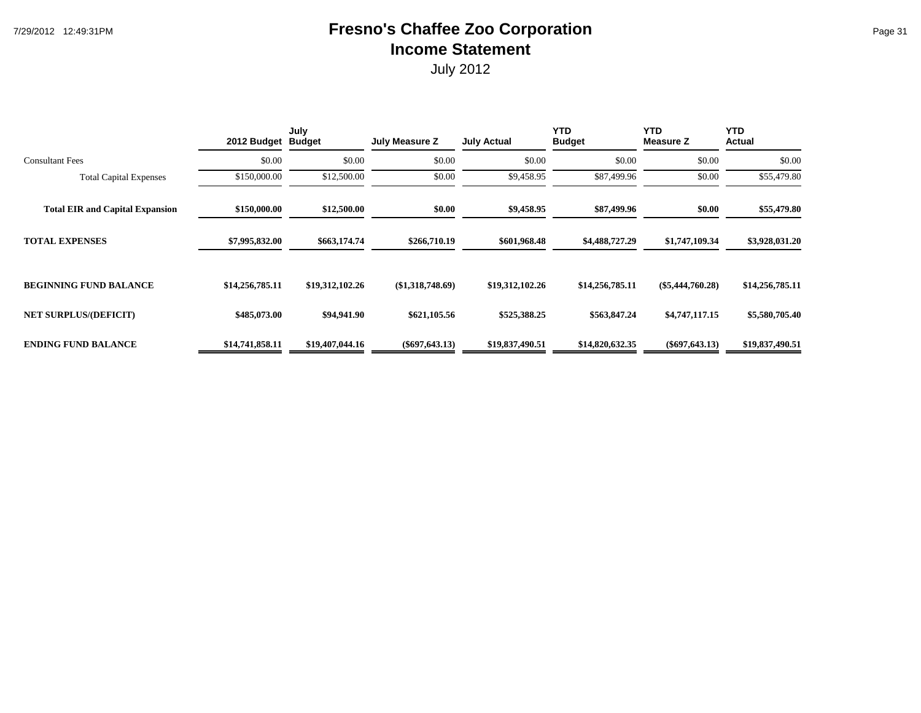# **Fresno's Chaffee Zoo Corporation Page 31 Income Statement**

|                                        | 2012 Budget     | July<br><b>Budget</b> | July Measure Z   | <b>July Actual</b> | <b>YTD</b><br><b>Budget</b> | <b>YTD</b><br><b>Measure Z</b> | YTD<br>Actual   |
|----------------------------------------|-----------------|-----------------------|------------------|--------------------|-----------------------------|--------------------------------|-----------------|
| <b>Consultant Fees</b>                 | \$0.00          | \$0.00                | \$0.00           | \$0.00             | \$0.00                      | \$0.00                         | \$0.00          |
| <b>Total Capital Expenses</b>          | \$150,000.00    | \$12,500.00           | \$0.00           | \$9,458.95         | \$87,499.96                 | \$0.00                         | \$55,479.80     |
| <b>Total EIR and Capital Expansion</b> | \$150,000.00    | \$12,500.00           | \$0.00           | \$9,458.95         | \$87,499.96                 | \$0.00                         | \$55,479.80     |
| <b>TOTAL EXPENSES</b>                  | \$7,995,832.00  | \$663,174.74          | \$266,710.19     | \$601,968.48       | \$4,488,727.29              | \$1,747,109.34                 | \$3,928,031.20  |
| <b>BEGINNING FUND BALANCE</b>          | \$14,256,785.11 | \$19,312,102.26       | (\$1,318,748.69) | \$19,312,102.26    | \$14,256,785.11             | $(\$5,444,760.28)$             | \$14,256,785.11 |
| <b>NET SURPLUS/(DEFICIT)</b>           | \$485,073.00    | \$94,941.90           | \$621,105.56     | \$525,388.25       | \$563,847.24                | \$4,747,117.15                 | \$5,580,705.40  |
| <b>ENDING FUND BALANCE</b>             | \$14,741,858.11 | \$19,407,044.16       | $(\$697,643.13)$ | \$19,837,490.51    | \$14,820,632.35             | $(\$697,643.13)$               | \$19,837,490.51 |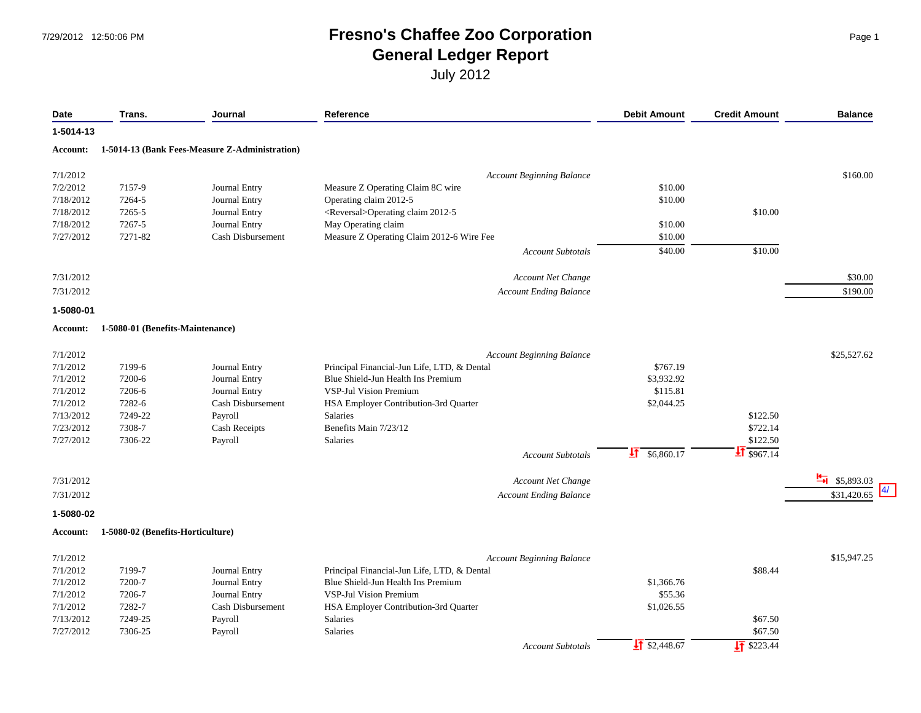# **Fresno's Chaffee Zoo Corporation** Page 1 **General Ledger Report**

| Date                  | Trans.                            | Journal                                        | Reference                                         | <b>Debit Amount</b>       | <b>Credit Amount</b>    | <b>Balance</b>                              |
|-----------------------|-----------------------------------|------------------------------------------------|---------------------------------------------------|---------------------------|-------------------------|---------------------------------------------|
| 1-5014-13             |                                   |                                                |                                                   |                           |                         |                                             |
| Account:              |                                   | 1-5014-13 (Bank Fees-Measure Z-Administration) |                                                   |                           |                         |                                             |
| 7/1/2012              |                                   |                                                | <b>Account Beginning Balance</b>                  |                           |                         | \$160.00                                    |
| 7/2/2012              | 7157-9                            | Journal Entry                                  | Measure Z Operating Claim 8C wire                 | \$10.00                   |                         |                                             |
| 7/18/2012             | 7264-5                            | Journal Entry                                  | Operating claim 2012-5                            | \$10.00                   |                         |                                             |
| 7/18/2012             | 7265-5                            | Journal Entry                                  | <reversal>Operating claim 2012-5</reversal>       |                           | \$10.00                 |                                             |
| 7/18/2012             | 7267-5                            | Journal Entry                                  | May Operating claim                               | \$10.00                   |                         |                                             |
| 7/27/2012             | 7271-82                           | Cash Disbursement                              | Measure Z Operating Claim 2012-6 Wire Fee         | \$10.00                   |                         |                                             |
|                       |                                   |                                                | <b>Account Subtotals</b>                          | \$40.00                   | \$10.00                 |                                             |
| 7/31/2012             |                                   |                                                | <b>Account Net Change</b>                         |                           |                         | \$30.00                                     |
| 7/31/2012             |                                   |                                                | <b>Account Ending Balance</b>                     |                           |                         | \$190.00                                    |
| 1-5080-01             |                                   |                                                |                                                   |                           |                         |                                             |
| Account:              | 1-5080-01 (Benefits-Maintenance)  |                                                |                                                   |                           |                         |                                             |
|                       |                                   |                                                |                                                   |                           |                         |                                             |
| 7/1/2012              |                                   |                                                | <b>Account Beginning Balance</b>                  |                           |                         | \$25,527.62                                 |
| 7/1/2012              | 7199-6                            | Journal Entry                                  | Principal Financial-Jun Life, LTD, & Dental       | \$767.19                  |                         |                                             |
| 7/1/2012              | 7200-6                            | Journal Entry                                  | Blue Shield-Jun Health Ins Premium                | \$3,932.92<br>\$115.81    |                         |                                             |
| 7/1/2012              | 7206-6<br>7282-6                  | Journal Entry                                  | VSP-Jul Vision Premium                            | \$2,044.25                |                         |                                             |
| 7/1/2012<br>7/13/2012 | 7249-22                           | Cash Disbursement                              | HSA Employer Contribution-3rd Quarter<br>Salaries |                           | \$122.50                |                                             |
| 7/23/2012             | 7308-7                            | Payroll                                        | Benefits Main 7/23/12                             |                           | \$722.14                |                                             |
| 7/27/2012             | 7306-22                           | Cash Receipts                                  | Salaries                                          |                           | \$122.50                |                                             |
|                       |                                   | Payroll                                        | <b>Account Subtotals</b>                          | $\frac{1}{21}$ \$6,860.17 | $\frac{1}{21}$ \$967.14 |                                             |
|                       |                                   |                                                |                                                   |                           |                         |                                             |
| 7/31/2012             |                                   |                                                | Account Net Change                                |                           |                         | $\frac{H}{H}$ \$5,893.03<br>$\vert 4 \vert$ |
| 7/31/2012             |                                   |                                                | <b>Account Ending Balance</b>                     |                           |                         | \$31,420.65                                 |
| 1-5080-02             |                                   |                                                |                                                   |                           |                         |                                             |
| Account:              | 1-5080-02 (Benefits-Horticulture) |                                                |                                                   |                           |                         |                                             |
| 7/1/2012              |                                   |                                                | <b>Account Beginning Balance</b>                  |                           |                         | \$15,947.25                                 |
| 7/1/2012              | 7199-7                            | Journal Entry                                  | Principal Financial-Jun Life, LTD, & Dental       |                           | \$88.44                 |                                             |
| 7/1/2012              | 7200-7                            | Journal Entry                                  | Blue Shield-Jun Health Ins Premium                | \$1,366.76                |                         |                                             |
| 7/1/2012              | 7206-7                            | Journal Entry                                  | VSP-Jul Vision Premium                            | \$55.36                   |                         |                                             |
| 7/1/2012              | 7282-7                            | Cash Disbursement                              | HSA Employer Contribution-3rd Quarter             | \$1,026.55                |                         |                                             |
| 7/13/2012             | 7249-25                           | Payroll                                        | Salaries                                          |                           | \$67.50                 |                                             |
| 7/27/2012             | 7306-25                           | Payroll                                        | Salaries                                          |                           | \$67.50                 |                                             |
|                       |                                   |                                                | <b>Account Subtotals</b>                          | $\sqrt{1}$ \$2,448.67     | $17$ \$223.44           |                                             |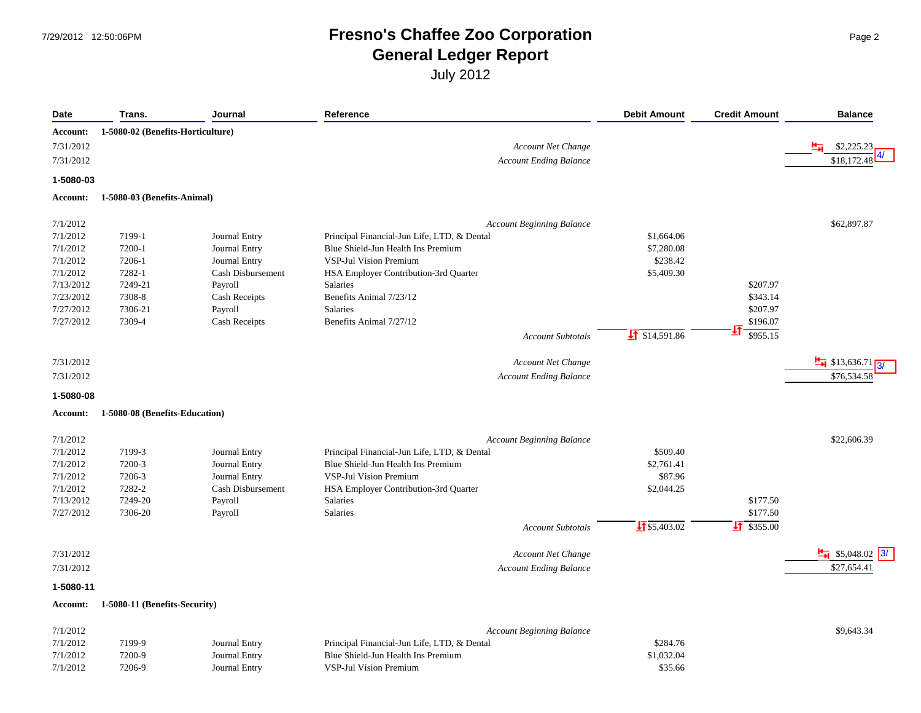#### **Fresno's Chaffee Zoo Corporation Page 2** Page 2 **General Ledger Report**

| Date      | Trans.                            | Journal           | Reference                                   | <b>Debit Amount</b>        | <b>Credit Amount</b>    | <b>Balance</b>              |
|-----------|-----------------------------------|-------------------|---------------------------------------------|----------------------------|-------------------------|-----------------------------|
| Account:  | 1-5080-02 (Benefits-Horticulture) |                   |                                             |                            |                         |                             |
| 7/31/2012 |                                   |                   | <b>Account Net Change</b>                   |                            |                         | 누<br>\$2,225.23             |
| 7/31/2012 |                                   |                   | <b>Account Ending Balance</b>               |                            |                         | \$18,172.48                 |
| 1-5080-03 |                                   |                   |                                             |                            |                         |                             |
| Account:  | 1-5080-03 (Benefits-Animal)       |                   |                                             |                            |                         |                             |
|           |                                   |                   |                                             |                            |                         |                             |
| 7/1/2012  |                                   |                   | <b>Account Beginning Balance</b>            |                            |                         | \$62,897.87                 |
| 7/1/2012  | 7199-1                            | Journal Entry     | Principal Financial-Jun Life, LTD, & Dental | \$1,664.06                 |                         |                             |
| 7/1/2012  | 7200-1                            | Journal Entry     | Blue Shield-Jun Health Ins Premium          | \$7,280.08                 |                         |                             |
| 7/1/2012  | 7206-1                            | Journal Entry     | VSP-Jul Vision Premium                      | \$238.42                   |                         |                             |
| 7/1/2012  | 7282-1                            | Cash Disbursement | HSA Employer Contribution-3rd Quarter       | \$5,409.30                 |                         |                             |
| 7/13/2012 | 7249-21                           | Payroll           | Salaries                                    |                            | \$207.97                |                             |
| 7/23/2012 | 7308-8                            | Cash Receipts     | Benefits Animal 7/23/12                     |                            | \$343.14                |                             |
| 7/27/2012 | 7306-21                           | Payroll           | Salaries                                    |                            | \$207.97                |                             |
| 7/27/2012 | 7309-4                            | Cash Receipts     | Benefits Animal 7/27/12                     |                            | \$196.07                |                             |
|           |                                   |                   | <b>Account Subtotals</b>                    | $\frac{1}{21}$ \$14,591.86 | \$955.15                |                             |
|           |                                   |                   |                                             |                            |                         |                             |
| 7/31/2012 |                                   |                   | Account Net Change                          |                            |                         | $\frac{H}{H}$ \$13,636.71   |
| 7/31/2012 |                                   |                   | <b>Account Ending Balance</b>               |                            |                         | \$76,534.58                 |
| 1-5080-08 |                                   |                   |                                             |                            |                         |                             |
| Account:  | 1-5080-08 (Benefits-Education)    |                   |                                             |                            |                         |                             |
|           |                                   |                   |                                             |                            |                         |                             |
| 7/1/2012  |                                   |                   | <b>Account Beginning Balance</b>            |                            |                         | \$22,606.39                 |
| 7/1/2012  | 7199-3                            | Journal Entry     | Principal Financial-Jun Life, LTD, & Dental | \$509.40                   |                         |                             |
| 7/1/2012  | 7200-3                            | Journal Entry     | Blue Shield-Jun Health Ins Premium          | \$2,761.41                 |                         |                             |
| 7/1/2012  | 7206-3                            | Journal Entry     | VSP-Jul Vision Premium                      | \$87.96                    |                         |                             |
| 7/1/2012  | 7282-2                            | Cash Disbursement | HSA Employer Contribution-3rd Quarter       | \$2,044.25                 |                         |                             |
| 7/13/2012 | 7249-20                           | Payroll           | Salaries                                    |                            | \$177.50                |                             |
| 7/27/2012 | 7306-20                           | Payroll           | Salaries                                    |                            | \$177.50                |                             |
|           |                                   |                   | <b>Account Subtotals</b>                    | $\frac{1}{2}$ \$5,403.02   | $\frac{1}{21}$ \$355.00 |                             |
| 7/31/2012 |                                   |                   | <b>Account Net Change</b>                   |                            |                         | $\frac{H}{H}$ \$5,048.02 3/ |
| 7/31/2012 |                                   |                   | <b>Account Ending Balance</b>               |                            |                         | \$27,654.41                 |
| 1-5080-11 |                                   |                   |                                             |                            |                         |                             |
|           |                                   |                   |                                             |                            |                         |                             |
| Account:  | 1-5080-11 (Benefits-Security)     |                   |                                             |                            |                         |                             |
| 7/1/2012  |                                   |                   | <b>Account Beginning Balance</b>            |                            |                         | \$9,643.34                  |
| 7/1/2012  | 7199-9                            | Journal Entry     | Principal Financial-Jun Life, LTD, & Dental | \$284.76                   |                         |                             |
| 7/1/2012  | 7200-9                            | Journal Entry     | Blue Shield-Jun Health Ins Premium          | \$1,032.04                 |                         |                             |
| 7/1/2012  | 7206-9                            | Journal Entry     | <b>VSP-Jul Vision Premium</b>               | \$35.66                    |                         |                             |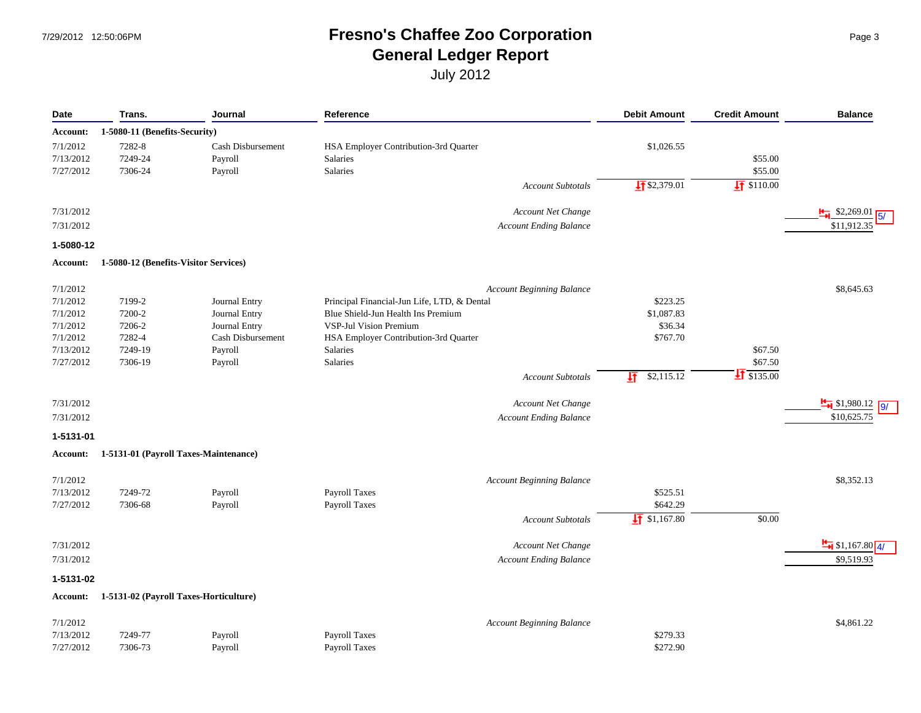# **Fresno's Chaffee Zoo Corporation Page 3 General Ledger Report**

| Date            | Trans.                                 | Journal           | Reference                                   | <b>Debit Amount</b>      | <b>Credit Amount</b>    | <b>Balance</b>                     |
|-----------------|----------------------------------------|-------------------|---------------------------------------------|--------------------------|-------------------------|------------------------------------|
| Account:        | 1-5080-11 (Benefits-Security)          |                   |                                             |                          |                         |                                    |
| 7/1/2012        | 7282-8                                 | Cash Disbursement | HSA Employer Contribution-3rd Quarter       | \$1,026.55               |                         |                                    |
| 7/13/2012       | 7249-24                                | Payroll           | Salaries                                    |                          | \$55.00                 |                                    |
| 7/27/2012       | 7306-24                                | Payroll           | Salaries                                    |                          | \$55.00                 |                                    |
|                 |                                        |                   | <b>Account Subtotals</b>                    | $\sqrt{1}$ \$2,379.01    | $\frac{1}{2}$ \$110.00  |                                    |
| 7/31/2012       |                                        |                   | Account Net Change                          |                          |                         | $\frac{1}{2}$ \$2,269.01           |
| 7/31/2012       |                                        |                   | <b>Account Ending Balance</b>               |                          |                         | \$11,912.3                         |
| 1-5080-12       |                                        |                   |                                             |                          |                         |                                    |
| <b>Account:</b> | 1-5080-12 (Benefits-Visitor Services)  |                   |                                             |                          |                         |                                    |
| 7/1/2012        |                                        |                   | Account Beginning Balance                   |                          |                         | \$8,645.63                         |
| 7/1/2012        | 7199-2                                 | Journal Entry     | Principal Financial-Jun Life, LTD, & Dental | \$223.25                 |                         |                                    |
| 7/1/2012        | 7200-2                                 | Journal Entry     | Blue Shield-Jun Health Ins Premium          | \$1,087.83               |                         |                                    |
| 7/1/2012        | 7206-2                                 | Journal Entry     | VSP-Jul Vision Premium                      | \$36.34                  |                         |                                    |
| 7/1/2012        | 7282-4                                 | Cash Disbursement | HSA Employer Contribution-3rd Quarter       | \$767.70                 |                         |                                    |
| 7/13/2012       | 7249-19                                | Payroll           | Salaries                                    |                          | \$67.50                 |                                    |
| 7/27/2012       | 7306-19                                | Payroll           | <b>Salaries</b>                             |                          | \$67.50                 |                                    |
|                 |                                        |                   | <b>Account Subtotals</b>                    | 圷<br>\$2,115.12          | $\frac{1}{21}$ \$135.00 |                                    |
| 7/31/2012       |                                        |                   | Account Net Change                          |                          |                         | $\frac{14}{9}$ \$1,980.12 9/       |
| 7/31/2012       |                                        |                   | Account Ending Balance                      |                          |                         | \$10,625.75                        |
| 1-5131-01       |                                        |                   |                                             |                          |                         |                                    |
| Account:        | 1-5131-01 (Payroll Taxes-Maintenance)  |                   |                                             |                          |                         |                                    |
| 7/1/2012        |                                        |                   | Account Beginning Balance                   |                          |                         | \$8,352.13                         |
| 7/13/2012       | 7249-72                                | Payroll           | Payroll Taxes                               | \$525.51                 |                         |                                    |
| 7/27/2012       | 7306-68                                | Payroll           | Payroll Taxes                               | \$642.29                 |                         |                                    |
|                 |                                        |                   | Account Subtotals                           | $\frac{1}{2}$ \$1,167.80 | \$0.00                  |                                    |
| 7/31/2012       |                                        |                   | Account Net Change                          |                          |                         | $\frac{H}{\sqrt{4}}$ \$1,167.80 4/ |
| 7/31/2012       |                                        |                   | Account Ending Balance                      |                          |                         | \$9,519.93                         |
| 1-5131-02       |                                        |                   |                                             |                          |                         |                                    |
| <b>Account:</b> | 1-5131-02 (Payroll Taxes-Horticulture) |                   |                                             |                          |                         |                                    |
| 7/1/2012        |                                        |                   | Account Beginning Balance                   |                          |                         | \$4,861.22                         |
| 7/13/2012       | 7249-77                                | Payroll           | Payroll Taxes                               | \$279.33                 |                         |                                    |
| 7/27/2012       | 7306-73                                | Payroll           | Payroll Taxes                               | \$272.90                 |                         |                                    |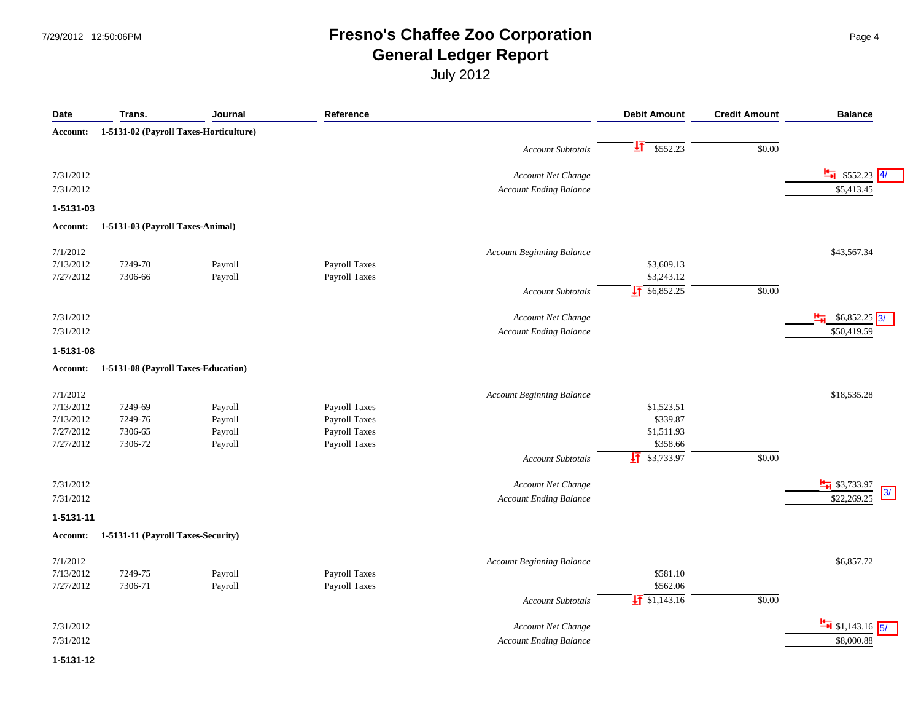## **Fresno's Chaffee Zoo Corporation** Page 4 **General Ledger Report**

| Date      | Trans.                                 | Journal | Reference            |                                  | <b>Debit Amount</b>      | <b>Credit Amount</b> | <b>Balance</b>                     |
|-----------|----------------------------------------|---------|----------------------|----------------------------------|--------------------------|----------------------|------------------------------------|
| Account:  | 1-5131-02 (Payroll Taxes-Horticulture) |         |                      |                                  |                          |                      |                                    |
|           |                                        |         |                      | <b>Account Subtotals</b>         | 虹<br>\$552.23            | \$0.00               |                                    |
| 7/31/2012 |                                        |         |                      | Account Net Change               |                          |                      | $\frac{H}{H}$ \$552.23 4/          |
| 7/31/2012 |                                        |         |                      | Account Ending Balance           |                          |                      | \$5,413.45                         |
| 1-5131-03 |                                        |         |                      |                                  |                          |                      |                                    |
| Account:  | 1-5131-03 (Payroll Taxes-Animal)       |         |                      |                                  |                          |                      |                                    |
| 7/1/2012  |                                        |         |                      | <b>Account Beginning Balance</b> |                          |                      | \$43,567.34                        |
| 7/13/2012 | 7249-70                                | Payroll | <b>Payroll Taxes</b> |                                  | \$3,609.13               |                      |                                    |
| 7/27/2012 | 7306-66                                | Payroll | Payroll Taxes        |                                  | \$3,243.12               |                      |                                    |
|           |                                        |         |                      | <b>Account Subtotals</b>         | $\sqrt{11}$ \$6,852.25   | \$0.00               |                                    |
| 7/31/2012 |                                        |         |                      | Account Net Change               |                          |                      | \$6,852.25<br>13/                  |
| 7/31/2012 |                                        |         |                      | <b>Account Ending Balance</b>    |                          |                      | \$50,419.59                        |
| 1-5131-08 |                                        |         |                      |                                  |                          |                      |                                    |
| Account:  | 1-5131-08 (Payroll Taxes-Education)    |         |                      |                                  |                          |                      |                                    |
| 7/1/2012  |                                        |         |                      | <b>Account Beginning Balance</b> |                          |                      | \$18,535.28                        |
| 7/13/2012 | 7249-69                                | Payroll | <b>Payroll Taxes</b> |                                  | \$1,523.51               |                      |                                    |
| 7/13/2012 | 7249-76                                | Payroll | <b>Payroll Taxes</b> |                                  | \$339.87                 |                      |                                    |
| 7/27/2012 | 7306-65                                | Payroll | Payroll Taxes        |                                  | \$1,511.93               |                      |                                    |
| 7/27/2012 | 7306-72                                | Payroll | Payroll Taxes        |                                  | \$358.66                 |                      |                                    |
|           |                                        |         |                      | <b>Account Subtotals</b>         | $\sqrt{41}$ \$3,733.97   | \$0.00               |                                    |
| 7/31/2012 |                                        |         |                      | Account Net Change               |                          |                      | $\frac{H}{H}$ \$3,733.97           |
| 7/31/2012 |                                        |         |                      | <b>Account Ending Balance</b>    |                          |                      | 3/<br>\$22,269.25                  |
| 1-5131-11 |                                        |         |                      |                                  |                          |                      |                                    |
| Account:  | 1-5131-11 (Payroll Taxes-Security)     |         |                      |                                  |                          |                      |                                    |
| 7/1/2012  |                                        |         |                      | <b>Account Beginning Balance</b> |                          |                      | \$6,857.72                         |
| 7/13/2012 | 7249-75                                | Payroll | <b>Payroll Taxes</b> |                                  | \$581.10                 |                      |                                    |
| 7/27/2012 | 7306-71                                | Payroll | Payroll Taxes        |                                  | \$562.06                 |                      |                                    |
|           |                                        |         |                      | <b>Account Subtotals</b>         | $\frac{1}{2}$ \$1,143.16 | \$0.00               |                                    |
| 7/31/2012 |                                        |         |                      | Account Net Change               |                          |                      | $\frac{H}{\sqrt{2}}$ \$1,143.16 5/ |
| 7/31/2012 |                                        |         |                      | <b>Account Ending Balance</b>    |                          |                      | \$8,000.88                         |
| 1-5131-12 |                                        |         |                      |                                  |                          |                      |                                    |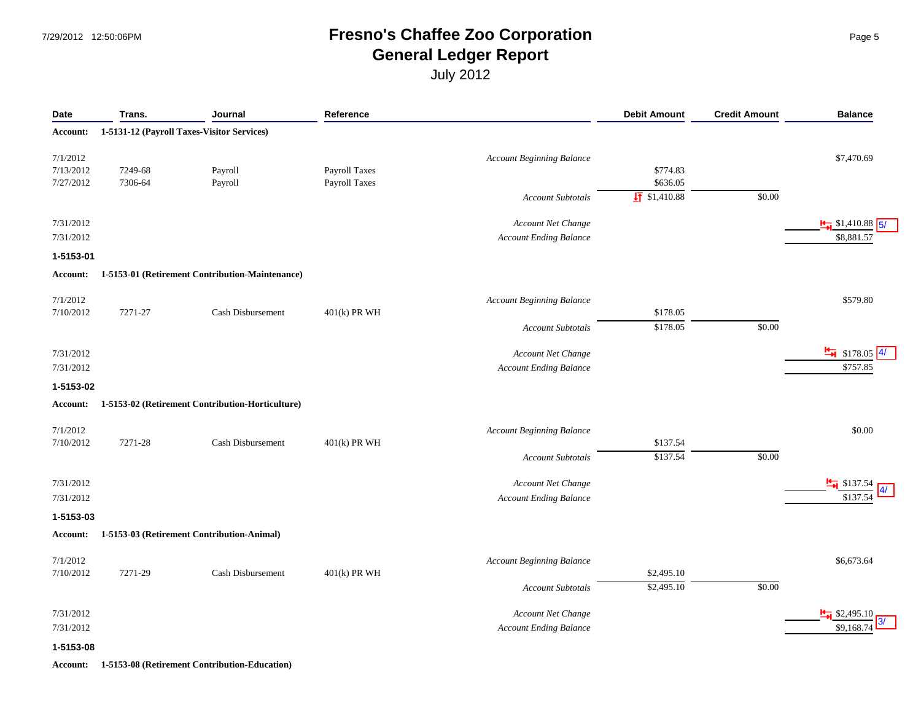## **Fresno's Chaffee Zoo Corporation Page 5 General Ledger Report**

July 2012

| Date                               | Trans.             | Journal                                          | Reference                                    |                                                     | <b>Debit Amount</b>      | <b>Credit Amount</b> | <b>Balance</b>                         |
|------------------------------------|--------------------|--------------------------------------------------|----------------------------------------------|-----------------------------------------------------|--------------------------|----------------------|----------------------------------------|
| Account:                           |                    | 1-5131-12 (Payroll Taxes-Visitor Services)       |                                              |                                                     |                          |                      |                                        |
| 7/1/2012<br>7/13/2012<br>7/27/2012 | 7249-68<br>7306-64 | Payroll<br>Payroll                               | <b>Payroll Taxes</b><br><b>Payroll Taxes</b> | <b>Account Beginning Balance</b>                    | \$774.83<br>\$636.05     |                      | \$7,470.69                             |
|                                    |                    |                                                  |                                              | <b>Account Subtotals</b>                            | $\frac{1}{2}$ \$1,410.88 | \$0.00               |                                        |
| 7/31/2012                          |                    |                                                  |                                              | Account Net Change                                  |                          |                      | $\frac{1}{2}$ \$1,410.88 5/            |
| 7/31/2012                          |                    |                                                  |                                              | <b>Account Ending Balance</b>                       |                          |                      | \$8,881.57                             |
| 1-5153-01                          |                    |                                                  |                                              |                                                     |                          |                      |                                        |
| Account:                           |                    | 1-5153-01 (Retirement Contribution-Maintenance)  |                                              |                                                     |                          |                      |                                        |
| 7/1/2012<br>7/10/2012              | 7271-27            | Cash Disbursement                                | $401(k)$ PR WH                               | <b>Account Beginning Balance</b>                    | \$178.05                 |                      | \$579.80                               |
|                                    |                    |                                                  |                                              | <b>Account Subtotals</b>                            | \$178.05                 | \$0.00               |                                        |
| 7/31/2012<br>7/31/2012             |                    |                                                  |                                              | Account Net Change<br><b>Account Ending Balance</b> |                          |                      | $\frac{14}{2}$ \$178.05 4/<br>\$757.85 |
| 1-5153-02                          |                    |                                                  |                                              |                                                     |                          |                      |                                        |
| Account:                           |                    | 1-5153-02 (Retirement Contribution-Horticulture) |                                              |                                                     |                          |                      |                                        |
| 7/1/2012<br>7/10/2012              | 7271-28            | Cash Disbursement                                | $401(k)$ PR WH                               | <b>Account Beginning Balance</b>                    | \$137.54                 |                      | \$0.00                                 |
|                                    |                    |                                                  |                                              | <b>Account Subtotals</b>                            | \$137.54                 | \$0.00               |                                        |
| 7/31/2012                          |                    |                                                  |                                              | Account Net Change                                  |                          |                      | \$137.54                               |
| 7/31/2012                          |                    |                                                  |                                              | <b>Account Ending Balance</b>                       |                          |                      |                                        |
| 1-5153-03                          |                    |                                                  |                                              |                                                     |                          |                      |                                        |
| Account:                           |                    | 1-5153-03 (Retirement Contribution-Animal)       |                                              |                                                     |                          |                      |                                        |
| 7/1/2012<br>7/10/2012              | 7271-29            | Cash Disbursement                                | $401(k)$ PR WH                               | Account Beginning Balance                           | \$2,495.10               |                      | \$6,673.64                             |
|                                    |                    |                                                  |                                              | <b>Account Subtotals</b>                            | \$2,495.10               | \$0.00               |                                        |
| 7/31/2012<br>7/31/2012             |                    |                                                  |                                              | Account Net Change<br><b>Account Ending Balance</b> |                          |                      | $\frac{1}{2}$ \$2,495.10<br>\$9,168.74 |
| 1-5153-08                          |                    |                                                  |                                              |                                                     |                          |                      |                                        |

**Account: 1-5153-08 (Retirement Contribution-Education)**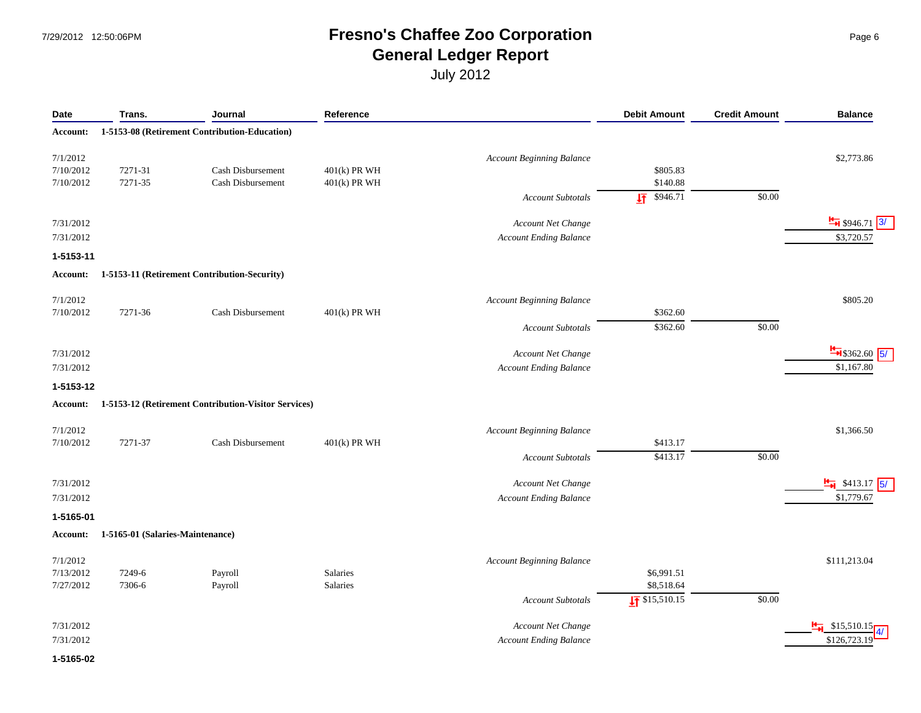#### **Fresno's Chaffee Zoo Corporation Page 6** Page 6 **General Ledger Report**

July 2012

| Date                  | Trans.                           | Journal                                              | Reference       |                                  | <b>Debit Amount</b>       | <b>Credit Amount</b> | <b>Balance</b>                        |
|-----------------------|----------------------------------|------------------------------------------------------|-----------------|----------------------------------|---------------------------|----------------------|---------------------------------------|
| <b>Account:</b>       |                                  | 1-5153-08 (Retirement Contribution-Education)        |                 |                                  |                           |                      |                                       |
| 7/1/2012<br>7/10/2012 | 7271-31                          | Cash Disbursement                                    | $401(k)$ PR WH  | Account Beginning Balance        | \$805.83                  |                      | \$2,773.86                            |
| 7/10/2012             | 7271-35                          | Cash Disbursement                                    | 401(k) PR WH    | <b>Account Subtotals</b>         | \$140.88<br>圷<br>\$946.71 | \$0.00               |                                       |
|                       |                                  |                                                      |                 |                                  |                           |                      |                                       |
| 7/31/2012             |                                  |                                                      |                 | Account Net Change               |                           |                      | $\frac{14}{2}$ \$946.71 $\frac{3}{1}$ |
| 7/31/2012             |                                  |                                                      |                 | Account Ending Balance           |                           |                      | \$3,720.57                            |
| 1-5153-11             |                                  |                                                      |                 |                                  |                           |                      |                                       |
| Account:              |                                  | 1-5153-11 (Retirement Contribution-Security)         |                 |                                  |                           |                      |                                       |
| 7/1/2012              |                                  |                                                      |                 | <b>Account Beginning Balance</b> |                           |                      | \$805.20                              |
| 7/10/2012             | 7271-36                          | Cash Disbursement                                    | $401(k)$ PR WH  |                                  | \$362.60                  |                      |                                       |
|                       |                                  |                                                      |                 | <b>Account Subtotals</b>         | \$362.60                  | \$0.00               |                                       |
| 7/31/2012             |                                  |                                                      |                 | Account Net Change               |                           |                      | $\frac{H}{1}$ \$362.60 5/             |
| 7/31/2012             |                                  |                                                      |                 | <b>Account Ending Balance</b>    |                           |                      | \$1,167.80                            |
| 1-5153-12             |                                  |                                                      |                 |                                  |                           |                      |                                       |
| Account:              |                                  | 1-5153-12 (Retirement Contribution-Visitor Services) |                 |                                  |                           |                      |                                       |
| 7/1/2012              |                                  |                                                      |                 | <b>Account Beginning Balance</b> |                           |                      | \$1,366.50                            |
| 7/10/2012             | 7271-37                          | Cash Disbursement                                    | 401(k) PR WH    |                                  | \$413.17                  |                      |                                       |
|                       |                                  |                                                      |                 | <b>Account Subtotals</b>         | \$413.17                  | \$0.00               |                                       |
| 7/31/2012             |                                  |                                                      |                 | Account Net Change               |                           |                      | $\frac{1}{2}$ \$413.17                |
| 7/31/2012             |                                  |                                                      |                 | <b>Account Ending Balance</b>    |                           |                      | \$1,779.6                             |
| 1-5165-01             |                                  |                                                      |                 |                                  |                           |                      |                                       |
| <b>Account:</b>       | 1-5165-01 (Salaries-Maintenance) |                                                      |                 |                                  |                           |                      |                                       |
| 7/1/2012              |                                  |                                                      |                 | <b>Account Beginning Balance</b> |                           |                      | \$111,213.04                          |
| 7/13/2012             | 7249-6                           | Payroll                                              | <b>Salaries</b> |                                  | \$6,991.51                |                      |                                       |
| 7/27/2012             | 7306-6                           | Payroll                                              | Salaries        |                                  | \$8,518.64                |                      |                                       |
|                       |                                  |                                                      |                 | <b>Account Subtotals</b>         | $\frac{1}{2}$ \$15,510.15 | \$0.00               |                                       |
| 7/31/2012             |                                  |                                                      |                 | Account Net Change               |                           |                      | \$15,510.15                           |
| 7/31/2012             |                                  |                                                      |                 | <b>Account Ending Balance</b>    |                           |                      | \$126,723.                            |

**1-5165-02**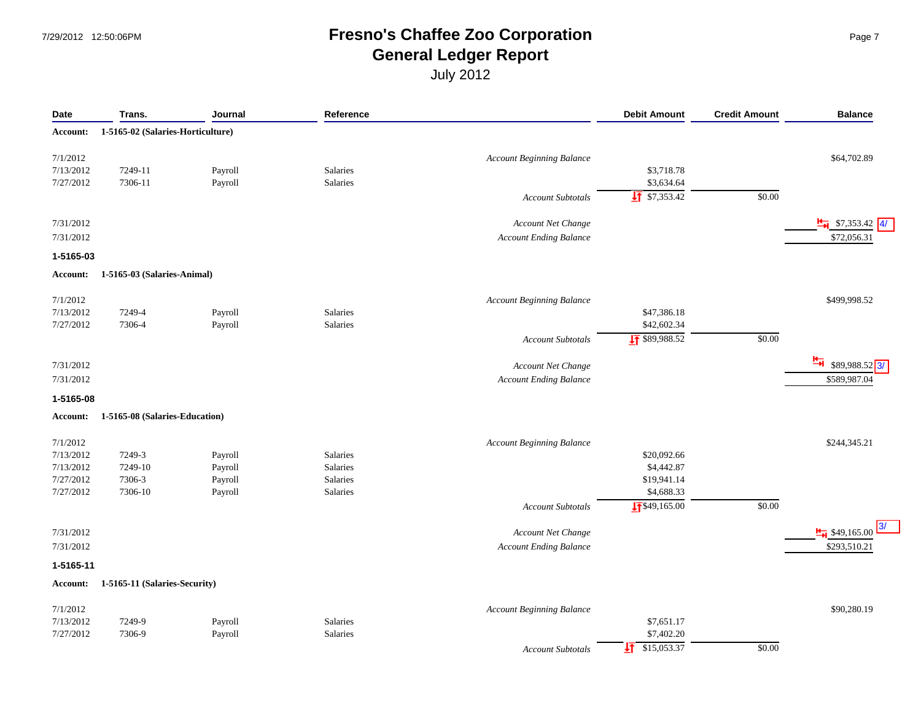## **Fresno's Chaffee Zoo Corporation Page 7** Page 7 **General Ledger Report**

| Date      | Trans.                            | Journal | Reference       |                                  | <b>Debit Amount</b>       | <b>Credit Amount</b> | <b>Balance</b>              |
|-----------|-----------------------------------|---------|-----------------|----------------------------------|---------------------------|----------------------|-----------------------------|
| Account:  | 1-5165-02 (Salaries-Horticulture) |         |                 |                                  |                           |                      |                             |
| 7/1/2012  |                                   |         |                 | <b>Account Beginning Balance</b> |                           |                      | \$64,702.89                 |
| 7/13/2012 | 7249-11                           | Payroll | Salaries        |                                  | \$3,718.78                |                      |                             |
| 7/27/2012 | 7306-11                           | Payroll | <b>Salaries</b> |                                  | \$3,634.64                |                      |                             |
|           |                                   |         |                 | Account Subtotals                | $\sqrt{5}$ \$7,353.42     | \$0.00               |                             |
| 7/31/2012 |                                   |         |                 | Account Net Change               |                           |                      | $\frac{H}{H}$ \$7,353.42 4/ |
| 7/31/2012 |                                   |         |                 | <b>Account Ending Balance</b>    |                           |                      | \$72,056.31                 |
| 1-5165-03 |                                   |         |                 |                                  |                           |                      |                             |
| Account:  | 1-5165-03 (Salaries-Animal)       |         |                 |                                  |                           |                      |                             |
| 7/1/2012  |                                   |         |                 | <b>Account Beginning Balance</b> |                           |                      | \$499,998.52                |
| 7/13/2012 | 7249-4                            | Payroll | <b>Salaries</b> |                                  | \$47,386.18               |                      |                             |
| 7/27/2012 | 7306-4                            | Payroll | Salaries        |                                  | \$42,602.34               |                      |                             |
|           |                                   |         |                 | Account Subtotals                | $\sqrt{11}$ \$89,988.52   | \$0.00               |                             |
| 7/31/2012 |                                   |         |                 | Account Net Change               |                           |                      | 런<br>$$89,988.52$ 3/        |
| 7/31/2012 |                                   |         |                 | <b>Account Ending Balance</b>    |                           |                      | \$589,987.04                |
| 1-5165-08 |                                   |         |                 |                                  |                           |                      |                             |
| Account:  | 1-5165-08 (Salaries-Education)    |         |                 |                                  |                           |                      |                             |
| 7/1/2012  |                                   |         |                 | <b>Account Beginning Balance</b> |                           |                      | \$244,345.21                |
| 7/13/2012 | 7249-3                            | Payroll | Salaries        |                                  | \$20,092.66               |                      |                             |
| 7/13/2012 | 7249-10                           | Payroll | Salaries        |                                  | \$4,442.87                |                      |                             |
| 7/27/2012 | 7306-3                            | Payroll | Salaries        |                                  | \$19,941.14               |                      |                             |
| 7/27/2012 | 7306-10                           | Payroll | Salaries        |                                  | \$4,688.33                |                      |                             |
|           |                                   |         |                 | <b>Account Subtotals</b>         | $\frac{1}{2}$ \$49,165.00 | \$0.00               |                             |
| 7/31/2012 |                                   |         |                 | Account Net Change               |                           |                      | $\frac{1}{2}$ \$49,165.00   |
| 7/31/2012 |                                   |         |                 | <b>Account Ending Balance</b>    |                           |                      | \$293,510.21                |
| 1-5165-11 |                                   |         |                 |                                  |                           |                      |                             |
| Account:  | 1-5165-11 (Salaries-Security)     |         |                 |                                  |                           |                      |                             |
| 7/1/2012  |                                   |         |                 | <b>Account Beginning Balance</b> |                           |                      | \$90,280.19                 |
| 7/13/2012 | 7249-9                            | Payroll | Salaries        |                                  | \$7,651.17                |                      |                             |
| 7/27/2012 | 7306-9                            | Payroll | Salaries        |                                  | \$7,402.20                |                      |                             |
|           |                                   |         |                 | <b>Account Subtotals</b>         | \$15,053.37               | \$0.00               |                             |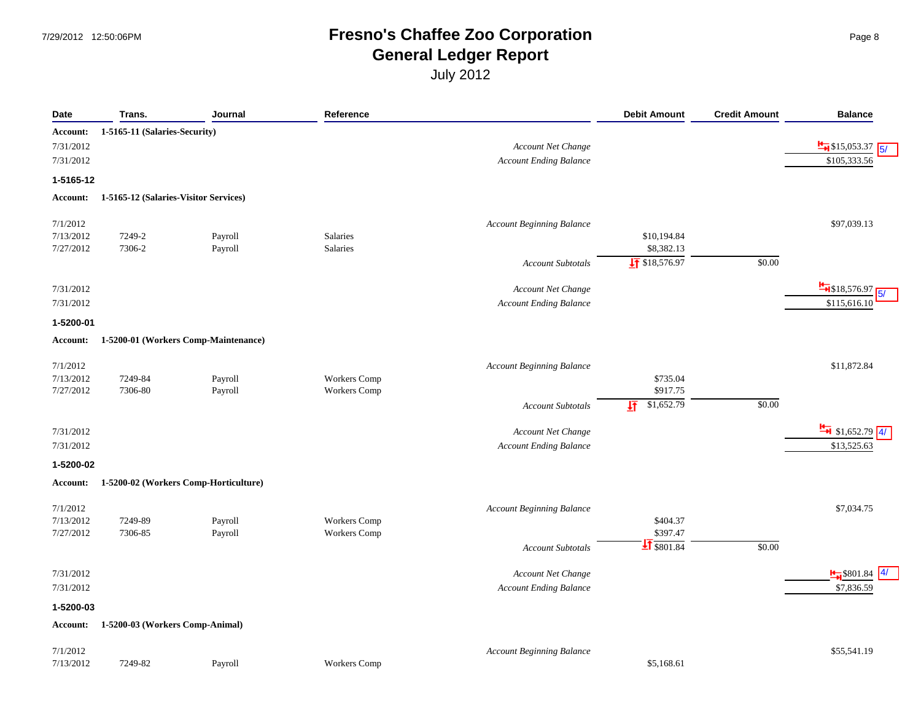# **Fresno's Chaffee Zoo Corporation Page 8** Page 8 **General Ledger Report**

| Date            | Trans.                                | Journal                               | Reference           |                                  | <b>Debit Amount</b>     | <b>Credit Amount</b> | <b>Balance</b>                     |
|-----------------|---------------------------------------|---------------------------------------|---------------------|----------------------------------|-------------------------|----------------------|------------------------------------|
| Account:        | 1-5165-11 (Salaries-Security)         |                                       |                     |                                  |                         |                      |                                    |
| 7/31/2012       |                                       |                                       |                     | Account Net Change               |                         |                      | $\frac{1}{2}$ \$15,053.37          |
| 7/31/2012       |                                       |                                       |                     | <b>Account Ending Balance</b>    |                         |                      | \$105,333.56                       |
| 1-5165-12       |                                       |                                       |                     |                                  |                         |                      |                                    |
| <b>Account:</b> | 1-5165-12 (Salaries-Visitor Services) |                                       |                     |                                  |                         |                      |                                    |
| 7/1/2012        |                                       |                                       |                     | <b>Account Beginning Balance</b> |                         |                      | \$97,039.13                        |
| 7/13/2012       | 7249-2                                | Payroll                               | Salaries            |                                  | \$10,194.84             |                      |                                    |
| 7/27/2012       | 7306-2                                | Payroll                               | Salaries            |                                  | \$8,382.13              |                      |                                    |
|                 |                                       |                                       |                     | <b>Account Subtotals</b>         | $\sqrt{11}$ \$18,576.97 | \$0.00               |                                    |
| 7/31/2012       |                                       |                                       |                     | Account Net Change               |                         |                      | $\frac{H}{\sqrt{5}}$ \$18,576.97   |
| 7/31/2012       |                                       |                                       |                     | <b>Account Ending Balance</b>    |                         |                      | \$115,616.10                       |
| 1-5200-01       |                                       |                                       |                     |                                  |                         |                      |                                    |
| Account:        |                                       | 1-5200-01 (Workers Comp-Maintenance)  |                     |                                  |                         |                      |                                    |
| 7/1/2012        |                                       |                                       |                     | <b>Account Beginning Balance</b> |                         |                      | \$11,872.84                        |
| 7/13/2012       | 7249-84                               | Payroll                               | <b>Workers Comp</b> |                                  | \$735.04                |                      |                                    |
| 7/27/2012       | 7306-80                               | Payroll                               | <b>Workers Comp</b> |                                  | \$917.75                |                      |                                    |
|                 |                                       |                                       |                     | <b>Account Subtotals</b>         | \$1,652.79<br>坘         | \$0.00               |                                    |
| 7/31/2012       |                                       |                                       |                     | Account Net Change               |                         |                      | $\frac{H}{\sqrt{4}}$ \$1,652.79 4/ |
| 7/31/2012       |                                       |                                       |                     | <b>Account Ending Balance</b>    |                         |                      | \$13,525.63                        |
| 1-5200-02       |                                       |                                       |                     |                                  |                         |                      |                                    |
| <b>Account:</b> |                                       | 1-5200-02 (Workers Comp-Horticulture) |                     |                                  |                         |                      |                                    |
| 7/1/2012        |                                       |                                       |                     | <b>Account Beginning Balance</b> |                         |                      | \$7,034.75                         |
| 7/13/2012       | 7249-89                               | Payroll                               | Workers Comp        |                                  | \$404.37                |                      |                                    |
| 7/27/2012       | 7306-85                               | Payroll                               | Workers Comp        |                                  | \$397.47                |                      |                                    |
|                 |                                       |                                       |                     | <b>Account Subtotals</b>         | $\frac{1}{21}$ \$801.84 | \$0.00               |                                    |
| 7/31/2012       |                                       |                                       |                     | Account Net Change               |                         |                      | $\frac{H}{H}$ \$801.84             |
| 7/31/2012       |                                       |                                       |                     | <b>Account Ending Balance</b>    |                         |                      | \$7,836.59                         |
| 1-5200-03       |                                       |                                       |                     |                                  |                         |                      |                                    |
| <b>Account:</b> | 1-5200-03 (Workers Comp-Animal)       |                                       |                     |                                  |                         |                      |                                    |
| 7/1/2012        |                                       |                                       |                     | <b>Account Beginning Balance</b> |                         |                      | \$55,541.19                        |
| 7/13/2012       | 7249-82                               | Payroll                               | <b>Workers Comp</b> |                                  | \$5,168.61              |                      |                                    |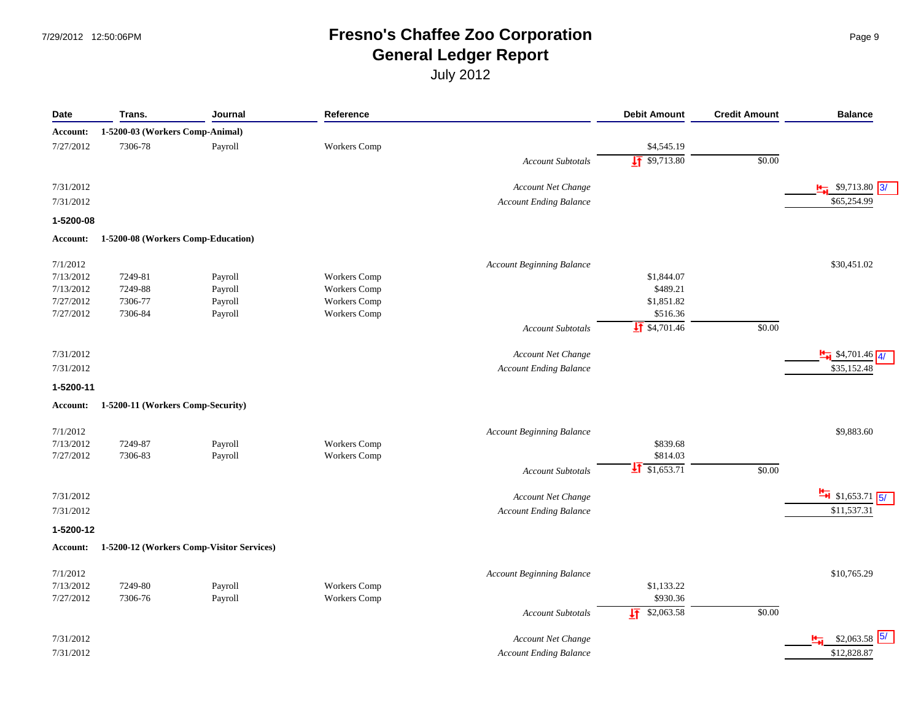# **Fresno's Chaffee Zoo Corporation Page 9** Page 9 **General Ledger Report**

| Date                  | Trans.                            | Journal                                   | Reference           |                                  | <b>Debit Amount</b>      | <b>Credit Amount</b> | <b>Balance</b>                     |
|-----------------------|-----------------------------------|-------------------------------------------|---------------------|----------------------------------|--------------------------|----------------------|------------------------------------|
| Account:              | 1-5200-03 (Workers Comp-Animal)   |                                           |                     |                                  |                          |                      |                                    |
| 7/27/2012             | 7306-78                           | Payroll                                   | Workers Comp        |                                  | \$4,545.19               |                      |                                    |
|                       |                                   |                                           |                     | <b>Account Subtotals</b>         | $\sqrt{5}$ \$9,713.80    | \$0.00               |                                    |
| 7/31/2012             |                                   |                                           |                     | Account Net Change               |                          |                      | $\frac{M}{M}$ \$9,713.80 3/        |
| 7/31/2012             |                                   |                                           |                     | <b>Account Ending Balance</b>    |                          |                      | \$65,254.99                        |
| 1-5200-08             |                                   |                                           |                     |                                  |                          |                      |                                    |
| Account:              |                                   | 1-5200-08 (Workers Comp-Education)        |                     |                                  |                          |                      |                                    |
| 7/1/2012              |                                   |                                           |                     | <b>Account Beginning Balance</b> |                          |                      | \$30,451.02                        |
| 7/13/2012             | 7249-81                           | Payroll                                   | <b>Workers Comp</b> |                                  | \$1,844.07               |                      |                                    |
| 7/13/2012             | 7249-88                           | Payroll                                   | Workers Comp        |                                  | \$489.21                 |                      |                                    |
| 7/27/2012             | 7306-77                           | Payroll                                   | Workers Comp        |                                  | \$1,851.82               |                      |                                    |
| 7/27/2012             | 7306-84                           | Payroll                                   | Workers Comp        |                                  | \$516.36                 |                      |                                    |
|                       |                                   |                                           |                     | <b>Account Subtotals</b>         | $\frac{1}{2}$ \$4,701.46 | \$0.00               |                                    |
| 7/31/2012             |                                   |                                           |                     | Account Net Change               |                          |                      | $\frac{H}{H}$ \$4,701.46 4/        |
| 7/31/2012             |                                   |                                           |                     | <b>Account Ending Balance</b>    |                          |                      | \$35,152.48                        |
| 1-5200-11             |                                   |                                           |                     |                                  |                          |                      |                                    |
| Account:              | 1-5200-11 (Workers Comp-Security) |                                           |                     |                                  |                          |                      |                                    |
|                       |                                   |                                           |                     |                                  |                          |                      |                                    |
| 7/1/2012<br>7/13/2012 | 7249-87                           |                                           | Workers Comp        | Account Beginning Balance        | \$839.68                 |                      | \$9,883.60                         |
| 7/27/2012             | 7306-83                           | Payroll<br>Payroll                        | Workers Comp        |                                  | \$814.03                 |                      |                                    |
|                       |                                   |                                           |                     | <b>Account Subtotals</b>         | $\frac{1}{2}$ \$1,653.71 | \$0.00               |                                    |
|                       |                                   |                                           |                     |                                  |                          |                      |                                    |
| 7/31/2012             |                                   |                                           |                     | Account Net Change               |                          |                      | $\frac{H}{\sqrt{2}}$ \$1,653.71 5/ |
| 7/31/2012             |                                   |                                           |                     | <b>Account Ending Balance</b>    |                          |                      | \$11,537.31                        |
| 1-5200-12             |                                   |                                           |                     |                                  |                          |                      |                                    |
| Account:              |                                   | 1-5200-12 (Workers Comp-Visitor Services) |                     |                                  |                          |                      |                                    |
| 7/1/2012              |                                   |                                           |                     | Account Beginning Balance        |                          |                      | \$10,765.29                        |
| 7/13/2012             | 7249-80                           | Payroll                                   | Workers Comp        |                                  | \$1,133.22               |                      |                                    |
| 7/27/2012             | 7306-76                           | Payroll                                   | Workers Comp        |                                  | \$930.36                 |                      |                                    |
|                       |                                   |                                           |                     | <b>Account Subtotals</b>         | $\frac{1}{2}$ \$2,063.58 | \$0.00               |                                    |
| 7/31/2012             |                                   |                                           |                     | Account Net Change               |                          |                      | \$2,063                            |
| 7/31/2012             |                                   |                                           |                     | <b>Account Ending Balance</b>    |                          |                      | \$12,828.87                        |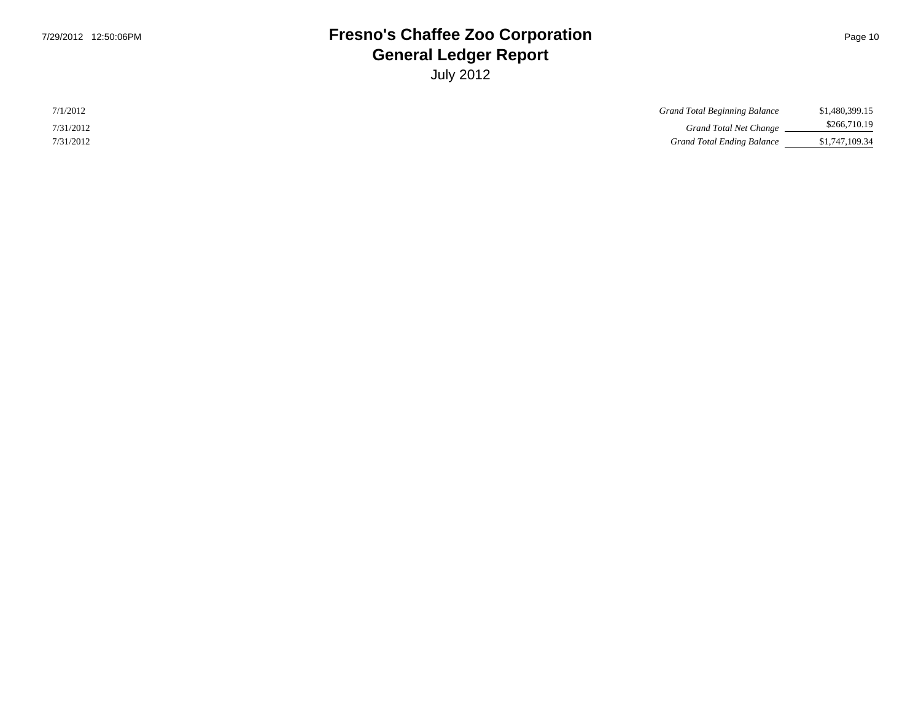7/1/2012 7/31/2012 7/31/2012

#### **Fresno's Chaffee Zoo Corporation Page 10** Page 10 **General Ledger Report** July 2012

| <b>Grand Total Beginning Balance</b> | \$1,480,399.15 |
|--------------------------------------|----------------|
| Grand Total Net Change               | \$266,710.19   |
| <b>Grand Total Ending Balance</b>    | \$1,747,109.34 |